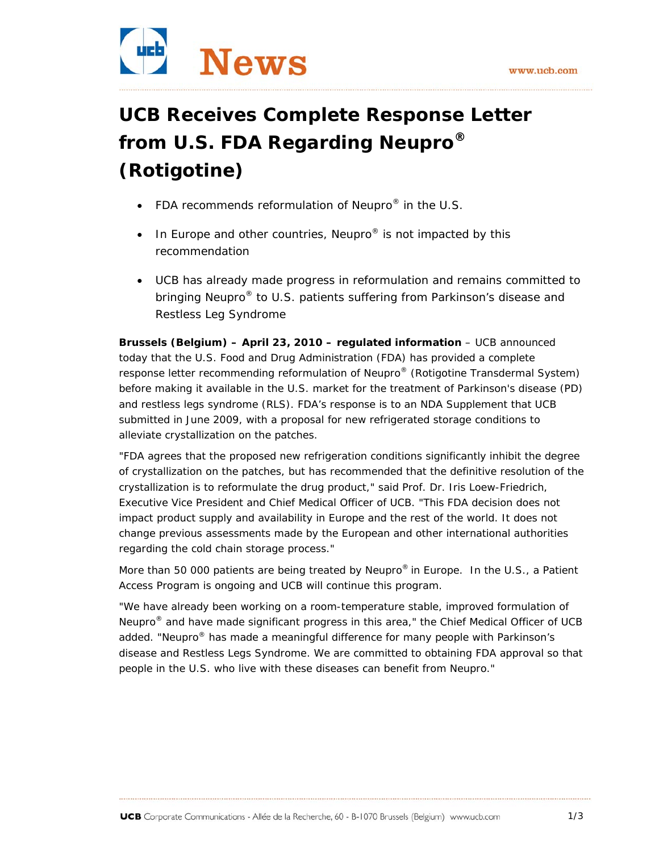

# **UCB Receives Complete Response Letter from U.S. FDA Regarding Neupro® (***Rotigotine***)**

- *FDA recommends reformulation of Neupro® in the U.S.*
- *In Europe and other countries, Neupro® is not impacted by this recommendation*
- *UCB has already made progress in reformulation and remains committed to bringing Neupro® to U.S. patients suffering from Parkinson's disease and Restless Leg Syndrome*

**Brussels (Belgium) – April 23, 2010 – regulated information** – UCB announced today that the U.S. Food and Drug Administration (FDA) has provided a complete response letter recommending reformulation of Neupro® (*Rotigotine Transdermal System*) before making it available in the U.S. market for the treatment of Parkinson's disease (PD) and restless legs syndrome (RLS). FDA's response is to an NDA Supplement that UCB submitted in June 2009, with a proposal for new refrigerated storage conditions to alleviate crystallization on the patches.

"FDA agrees that the proposed new refrigeration conditions significantly inhibit the degree of crystallization on the patches, but has recommended that the definitive resolution of the crystallization is to reformulate the drug product," said Prof. Dr. Iris Loew-Friedrich, Executive Vice President and Chief Medical Officer of UCB. "This FDA decision does not impact product supply and availability in Europe and the rest of the world. It does not change previous assessments made by the European and other international authorities regarding the cold chain storage process."

More than 50 000 patients are being treated by Neupro<sup>®</sup> in Europe. In the U.S., a Patient Access Program is ongoing and UCB will continue this program.

"We have already been working on a room-temperature stable, improved formulation of Neupro<sup>®</sup> and have made significant progress in this area," the Chief Medical Officer of UCB added. "Neupro<sup>®</sup> has made a meaningful difference for many people with Parkinson's disease and Restless Legs Syndrome. We are committed to obtaining FDA approval so that people in the U.S. who live with these diseases can benefit from Neupro."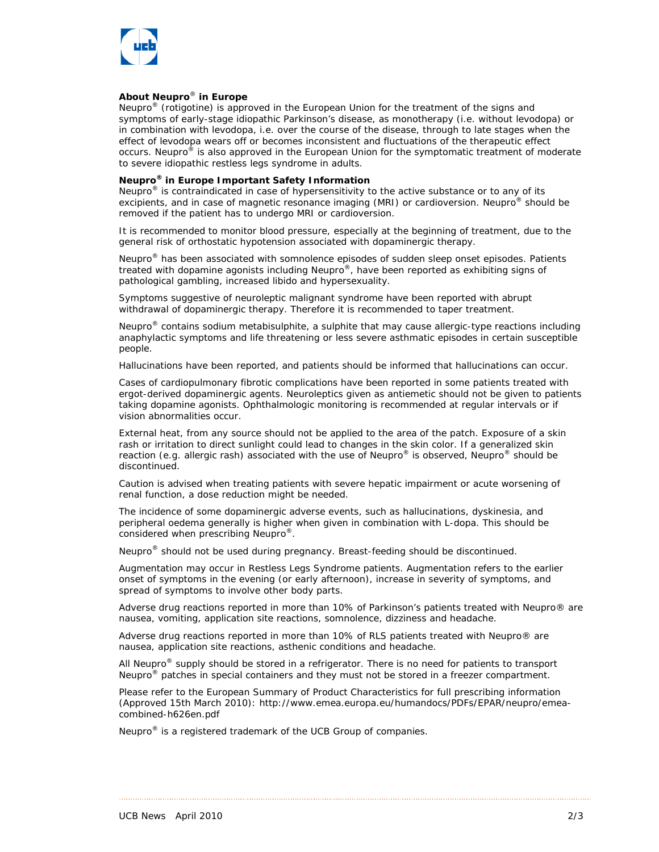

#### *About Neupro*® *in Europe*

*Neupro*® *(rotigotine) is approved in the European Union for the treatment of the signs and symptoms of early-stage idiopathic Parkinson's disease, as monotherapy (i.e. without levodopa) or in combination with levodopa, i.e. over the course of the disease, through to late stages when the effect of levodopa wears off or becomes inconsistent and fluctuations of the therapeutic effect occurs. Neupro*® *is also approved in the European Union for the symptomatic treatment of moderate to severe idiopathic restless legs syndrome in adults.* 

### *Neupro® in Europe Important Safety Information*

*Neupro® is contraindicated in case of hypersensitivity to the active substance or to any of its excipients, and in case of magnetic resonance imaging (MRI) or cardioversion. Neupro® should be removed if the patient has to undergo MRI or cardioversion.* 

*It is recommended to monitor blood pressure, especially at the beginning of treatment, due to the general risk of orthostatic hypotension associated with dopaminergic therapy.* 

*Neupro® has been associated with somnolence episodes of sudden sleep onset episodes. Patients treated with dopamine agonists including Neupro®, have been reported as exhibiting signs of pathological gambling, increased libido and hypersexuality.* 

*Symptoms suggestive of neuroleptic malignant syndrome have been reported with abrupt withdrawal of dopaminergic therapy. Therefore it is recommended to taper treatment.* 

*Neupro® contains sodium metabisulphite, a sulphite that may cause allergic-type reactions including anaphylactic symptoms and life threatening or less severe asthmatic episodes in certain susceptible people.* 

*Hallucinations have been reported, and patients should be informed that hallucinations can occur.* 

*Cases of cardiopulmonary fibrotic complications have been reported in some patients treated with ergot-derived dopaminergic agents. Neuroleptics given as antiemetic should not be given to patients taking dopamine agonists. Ophthalmologic monitoring is recommended at regular intervals or if vision abnormalities occur.* 

*External heat, from any source should not be applied to the area of the patch. Exposure of a skin rash or irritation to direct sunlight could lead to changes in the skin color. If a generalized skin reaction (e.g. allergic rash) associated with the use of Neupro® is observed, Neupro® should be discontinued.* 

*Caution is advised when treating patients with severe hepatic impairment or acute worsening of renal function, a dose reduction might be needed.* 

*The incidence of some dopaminergic adverse events, such as hallucinations, dyskinesia, and peripheral oedema generally is higher when given in combination with L-dopa. This should be considered when prescribing Neupro®.* 

*Neupro® should not be used during pregnancy. Breast-feeding should be discontinued.* 

*Augmentation may occur in Restless Legs Syndrome patients. Augmentation refers to the earlier onset of symptoms in the evening (or early afternoon), increase in severity of symptoms, and spread of symptoms to involve other body parts.* 

*Adverse drug reactions reported in more than 10% of Parkinson's patients treated with Neupro® are nausea, vomiting, application site reactions, somnolence, dizziness and headache.* 

*Adverse drug reactions reported in more than 10% of RLS patients treated with Neupro® are nausea, application site reactions, asthenic conditions and headache.* 

*All Neupro® supply should be stored in a refrigerator. There is no need for patients to transport Neupro® patches in special containers and they must not be stored in a freezer compartment.* 

*Please refer to the European Summary of Product Characteristics for full prescribing information (Approved 15th March 2010): http://www.emea.europa.eu/humandocs/PDFs/EPAR/neupro/emeacombined-h626en.pdf* 

*Neupro® is a registered trademark of the UCB Group of companies.*